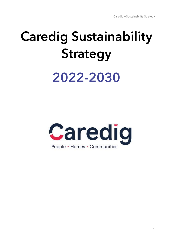# **Caredig Sustainability Strategy** 2022-2030

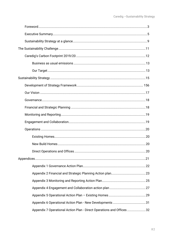| Appendix 7 Operational Action Plan - Direct Operations and Offices 32 |  |
|-----------------------------------------------------------------------|--|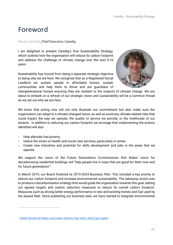# <span id="page-2-0"></span>Foreword

#### **Marcia Sinfield,** Chief Executive, Caredig

I am delighted to present Caredig's first Sustainability Strategy, which outlines how the organisation will reduce its carbon footprint and address the challenge of climate change over the next 5-10 years.

Sustainability has moved from being a separate strategic objective to being why we are here. We recognise that as a Registered Social Landlord we sustain people in affordable homes, sustain communities and help them to thrive and are guardians of



intergenerational homes ensuring they are resilient to the impacts of climate change. We are about to embark on a refresh of our strategic vision and sustainability will be a common thread as we set out why we are here.

We know that acting now will not only illustrate our commitment but also make sure the organisation can adapt to a climate-changed future, as well as avoid any climate-related risks that could impact the way we operate, the quality of service we provide, or the livelihoods of our tenants. In addition to reducing our carbon footprint we envisage that implementing the actions identified will also

- Help alleviate fuel poverty,
- relieve the strain on health and social care services, particularly in winter,
- Create new industries and potential for skills development and jobs in the areas that we operate.

We support the vision of the Future Generations Commissioner that Wales' vision for decarbonising residential buildings will "help people live in ways that are good for them now and for future generations"<sup>1</sup> .

In March 2019, our Board finalised its 2019-2024 Business Plan. This included a key priority to reduce our carbon footprint and increase environmental sustainability. The takeaway action was to produce a decarbonisation strategy that would guide the organisation towards this goal, setting out agreed targets and carbon reduction measures to reduce its overall carbon footprint. Measures such as driving better energy performance in new and existing homes and fuel used by the leased fleet. Since publishing our business plan, we have started to integrate environmental

<sup>&</sup>lt;sup>1</sup> [42949 Second All Wales Low Carbon Delivery Plan \(2021-2025\) \(gov.wales\)](https://gov.wales/sites/default/files/publications/2021-10/net-zero-wales-carbon-budget-2-2021-25.pdf)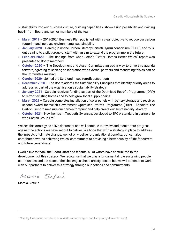sustainability into our business culture, building capabilities, showcasing possibility, and gaining buy-in from Board and senior members of the team:

- March 2019 2019-2024 Business Plan published with a clear objective to reduce our carbon footprint and increase environmental sustainability
- **January 2020** Caredig joins the Carbon Literacy Cartrefi Cymru consortium (CLCC), and rollsout training to a pilot group of staff with an aim to extend the programme in the future.
- **February 2020** The findings from Chris Joffe's "Better Homes Better Wales" report was presented to Board members.
- **October 2020** The Development and Asset Committee agreed a way to drive this agenda forward, agreeing to seeking collaboration with external partners and mandating this as part of the Committee meeting
- **October 2020** Joined the Sero optimised retrofit consortium
- **December 2020** The Board adopts the Sustainability Principles that identify priority areas to address as part of the organisation's sustainability strategy
- **January 2021** Caredig receives funding as part of the Optimised Retrofit Programme (ORP) to retrofit existing homes and to help grow local supply chains
- **March 2021**  Caredig completes installation of solar panels with battery storage and receives second award for Welsh Government Optimised Retrofit Programme (ORP). Appoints The Carbon Trust to measure our carbon footprint and help create our sustainability strategy.
- **October 2021** New homes in Treboeth, Swansea, developed to EPC A standard in partnership with Castell Group Ltd $^2$ .

We see this strategy as a live document and will continue to review and monitor our progress against the actions we have set out to deliver. We hope that with a strategy in place to address the impacts of climate change, we not only deliver organisational benefits, but can also contribute towards achieving Wales' commitment to providing a better quality of life for current and future generations.

I would like to thank the Board, staff and tenants, all of whom have contributed to the development of this strategy. We recognise that we play a fundamental role sustaining people, communities and the planet. The challenges ahead are significant but we will continue to work with our partners to deliver this strategy through our actions and commitments.

Mario Superi

Marcia Sinfield

<sup>&</sup>lt;sup>2</sup> Caredig Association turns to solar to tackle carbon footprint and fuel poverty (fha-wales.com)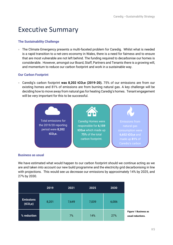# <span id="page-4-0"></span>Executive Summary

#### **The Sustainability Challenge**

• The Climate Emergency presents a multi-faceted problem for Caredig. Whilst what is needed is a rapid transition to a net-zero economy in Wales, there is a need for fairness and to ensure that are most vulnerable are not left behind. The funding required to decarbonise our homes is considerable. However, amongst our Board, Staff, Partners and Tenants there is a growing will, and momentum to reduce our carbon footprint and work in a sustainable way.

#### **Our Carbon Footprint**

• Caredig's carbon footprint **was 8,202 tCO2e (2019-20).** 75% of our emissions are from our existing homes and 81% of emissions are from burning natural gas. A key challenge will be deciding how to move away from natural gas for heating Caredig's homes. Tenant engagement will be very important for this to be successful.



#### **Business as usual**

We have estimated what would happen to our carbon footprint should we continue acting as we are and taken into account our new build programme and the electricity grid decarbonising in line with projections. This would see us decrease our emissions by approximately 14% by 2025, and 27% by 2030.

|                                          | 2019  | 2021  | 2025  | 2030  |                                                  |
|------------------------------------------|-------|-------|-------|-------|--------------------------------------------------|
| <b>Emissions</b><br>(tCO <sub>2</sub> e) | 8,201 | 7,649 | 7,039 | 6,006 |                                                  |
| % reduction                              |       | 7%    | 14%   | 27%   | <b>Figure 1 Business as</b><br>usual reductions. |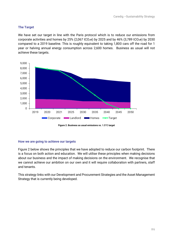#### **The Target**

We have set our target in line with the Paris protocol which is to reduce our emissions from corporate activities and homes by 25% (2,067 tCO<sub>2</sub>e) by 2025 and by 46% (3,789 tCO<sub>2</sub>e) by 2030 compared to a 2019 baseline. This is roughly equivalent to taking 1,800 cars off the road for 1 year or halving annual energy consumption across 2,600 homes. Business as usual will not achieve these targets.



**Figure 2. Business as usual emissions vs. 1.5°C target**

#### **How we are going to achieve our targets**

Figure 2 below shows the principles that we have adopted to reduce our carbon footprint. There is a focus on both action and education. We will utilise these principles when making decisions about our business and the impact of making decisions on the environment. We recognise that we cannot achieve our ambition on our own and it will require collaboration with partners, staff and tenants.

This strategy links with our Development and Procurement Strategies and the Asset Management Strategy that is currently being developed.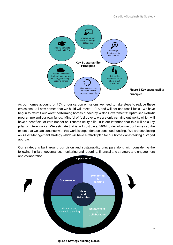

As our homes account for 75% of our carbon emissions we need to take steps to reduce these emissions. All new homes that we build will meet EPC A and will not use fossil fuels. We have begun to retrofit our worst performing homes funded by Welsh Governments' Optimised Retrofit programme and our own funds. Mindful of fuel poverty we are only carrying out works which will have a beneficial or zero impact on Tenants utility bills. It is our intention that this will be a key pillar of future works. We estimate that is will cost circa £40M to decarbonise our homes so the extent that we can continue with this work is dependent on continued funding. We are developing an Asset Management strategy which will have a retrofit plan for our homes whilst taking a staged approach.

Our strategy is built around our vision and sustainability principals along with considering the following 4 pillars: governance, monitoring and reporting, financial and strategic and engagement and collaboration.



**Figure 4 Strategy building blocks**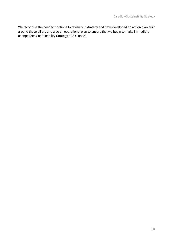We recognise the need to continue to revise our strategy and have developed an action plan built around these pillars and also an operational plan to ensure that we begin to make immediate change (see Sustainability Strategy at A Glance).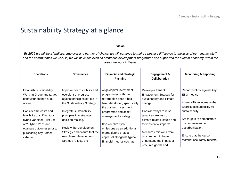# Sustainability Strategy at a glance

#### **Vision**

*By 2025 we will be a landlord; employer and partner of choice; we will continue to make a positive difference to the lives of our tenants, staff*  and the communities we work in; we will have achieved an ambitious development programme and supported the circular economy within the *areas we work in Wales*

<span id="page-8-0"></span>

| <b>Operations</b>                                                                                                                                                                                                                                 | <b>Governance</b>                                                                                                                                                                                                             | <b>Financial and Strategic</b><br><b>Planning</b>                                                                                                                                                                                          | <b>Engagement &amp;</b><br><b>Collaboration</b>                                                                                                                                                       | <b>Monitoring &amp; Reporting</b>                                                                                                                                                                       |
|---------------------------------------------------------------------------------------------------------------------------------------------------------------------------------------------------------------------------------------------------|-------------------------------------------------------------------------------------------------------------------------------------------------------------------------------------------------------------------------------|--------------------------------------------------------------------------------------------------------------------------------------------------------------------------------------------------------------------------------------------|-------------------------------------------------------------------------------------------------------------------------------------------------------------------------------------------------------|---------------------------------------------------------------------------------------------------------------------------------------------------------------------------------------------------------|
| <b>Establish Sustainability</b><br>Working Group and target<br>behaviour change at our<br>offices.<br>Consider the costs and<br>feasibility of shifting to a<br>hybrid van fleet. Pilot use<br>of 2 Hybrid Vans and<br>evaluate outcomes prior to | Improve Board visibility and<br>oversight of progress<br>against principles set out in<br>the Sustainability Strategy.<br>Integrate sustainability<br>principles into strategic<br>decision-making.<br>Review the Development | Align capital investment<br>programmes with the<br>retrofit plan once it has<br>been developed, specifically<br>the planned investment<br>programme and asset<br>management strategy.<br>Consider life cycle<br>emissions as an additional | Develop a Tenant<br><b>Engagement Strategy for</b><br>sustainability and climate<br>change.<br>Consider ways to raise<br>tenant awareness of<br>climate-related issues and<br>their potential impacts | Report publicly against key<br><b>ESG metrics</b><br>Agree KPIs to increase the<br>Board's accountability for<br>sustainability.<br>Set targets to demonstrate<br>our commitment to<br>decarbonisation. |
| purchasing any further<br>vehicles.                                                                                                                                                                                                               | Strategy and ensure that the<br>new Asset Management<br>Strategy reflects the                                                                                                                                                 | metric during project<br>appraisal alongside typical<br>financial metrics such as                                                                                                                                                          | Measure emissions from<br>procurement to better<br>understand the impact of<br>procured goods and                                                                                                     | Ensure that the carbon<br>footprint accurately reflects                                                                                                                                                 |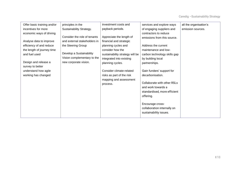| Offer basic training and/or | principles in the            | investment costs and            | services and explore ways    | all the organisation's |
|-----------------------------|------------------------------|---------------------------------|------------------------------|------------------------|
| incentives for more         | Sustainability Strategy.     | payback periods.                | of engaging suppliers and    | emission sources.      |
| economic ways of driving    |                              |                                 | contractors to reduce        |                        |
|                             | Consider the role of tenants | Appreciate the length of        | emissions from this source.  |                        |
| Analyse data to improve     | and external stakeholders in | financial and strategic         |                              |                        |
| efficiency of and reduce    | the Steering Group           | planning cycles and             | Address the current          |                        |
| the length of journey time  |                              | consider how the                | maintenance and low-         |                        |
| and fuel used               | Develop a Sustainability     | sustainability strategy will be | carbon technology skills gap |                        |
|                             | Vision complementary to the  | integrated into existing        | by building local            |                        |
| Design and release a        | new corporate vision.        | planning cycles.                | partnerships.                |                        |
| survey to better            |                              |                                 |                              |                        |
| understand how agile        |                              | Consider climate-related        | Gain funders' support for    |                        |
| working has changed         |                              | risks as part of the risk       | decarbonisation.             |                        |
|                             |                              | mapping and assessment          | Collaborate with other RSLs  |                        |
|                             |                              | process.                        | and work towards a           |                        |
|                             |                              |                                 | standardised, more efficient |                        |
|                             |                              |                                 |                              |                        |
|                             |                              |                                 | offering.                    |                        |
|                             |                              |                                 | Encourage cross-             |                        |
|                             |                              |                                 | collaboration internally on  |                        |
|                             |                              |                                 | sustainability issues.       |                        |
|                             |                              |                                 |                              |                        |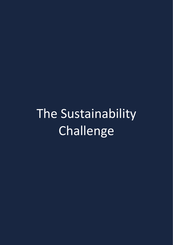# <span id="page-10-0"></span>The Sustainability Challenge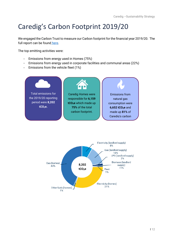# <span id="page-11-0"></span>Caredig's Carbon Footprint 2019/20

We engaged the Carbon Trust to measure our Carbon footprint for the financial year 2019/20. The full report can be found [here.](https://www.caredig.co.uk/our-performance/)

The top emitting activities were:

- Emissions from energy used in Homes (75%)
- Emissions from energy used in corporate facilities and communal areas (22%)
- Emissions from the vehicle fleet (1%)



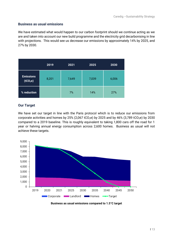#### <span id="page-12-0"></span>**Business as usual emissions**

We have estimated what would happen to our carbon footprint should we continue acting as we are and taken into account our new build programme and the electricity grid decarbonising in line with projections. This would see us decrease our emissions by approximately 14% by 2025, and 27% by 2030.

|                                          | 2019  | 2021  | 2025  | 2030  |
|------------------------------------------|-------|-------|-------|-------|
| <b>Emissions</b><br>(tCO <sub>2</sub> e) | 8,201 | 7,649 | 7,039 | 6,006 |
| % reduction                              |       | 7%    | 14%   | 27%   |

#### <span id="page-12-1"></span>**Our Target**

We have set our target in line with the Paris protocol which is to reduce our emissions from corporate activities and homes by 25% (2,067 tCO<sub>2</sub>e) by 2025 and by 46% (3,789 tCO<sub>2</sub>e) by 2030 compared to a 2019 baseline. This is roughly equivalent to taking 1,800 cars off the road for 1 year or halving annual energy consumption across 2,600 homes. Business as usual will not achieve these targets.



**Business as usual emissions compared to 1.5°C target**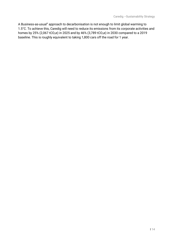A Business-as-usual" approach to decarbonisation is not enough to limit global warming to 1.5°C. To achieve this, Caredig will need to reduce its emissions from its corporate activities and homes by 25% (2,067 tCO<sub>2</sub>e) in 2025 and by 46% (3,789 tCO<sub>2</sub>e) in 2030 compared to a 2019 baseline. This is roughly equivalent to taking 1,800 cars off the road for 1 year.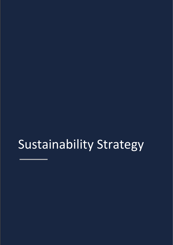# <span id="page-14-1"></span><span id="page-14-0"></span>Sustainability Strategy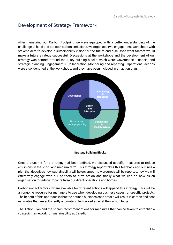# Development of Strategy Framework

After measuring our Carbon Footprint, we were equipped with a better understanding of the challenge at hand and our own carbon emissions, we organised two engagement workshops with stakeholders to develop a sustainability vision for the future and discussed what factors would make a future strategy successful. Discussions at the workshops and the development of our strategy was centred around the 4 key building blocks which were: Governance, Financial and strategic planning, Engagement & Collaboration, Monitoring and reporting. Operational actions were also identified at the workshops, and they have been included in an action plan.



**Strategy Building Blocks**

Once a blueprint for a strategy had been defined, we discussed specific measures to reduce emissions in the short- and medium-term. This strategy report takes this feedback and outlines a plan that describes how sustainability will be governed, how progress will be reported, how we will effectively engage with our partners to drive action and finally what we can do now as an organisation to reduce impacts from our direct operations and homes.

Carbon impact factors, where available for different actions will append this strategy. This will be an ongoing resource for managers to use when developing business cases for specific projects. The benefit of this approach is that the defined business case details will result in carbon and cost estimates that are sufficiently accurate to be tracked against the carbon target.

The Action Plan and the shares recommendations for measures that can be taken to establish a strategic framework for sustainability at Caredig.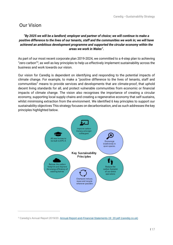## <span id="page-16-0"></span>Our Vision

#### *"By 2025 we will be a landlord; employer and partner of choice; we will continue to make a positive difference to the lives of our tenants, staff and the communities we work in; we will have achieved an ambitious development programme and supported the circular economy within the areas we work in Wales".*

As part of our most recent corporate plan 2019-2024, we committed to a 4-step plan to achieving "zero carbon"<sup>3</sup> , as well as key principles to help us effectively implement sustainability across the business and work towards our vision.

Our vision for Caredig is dependent on identifying and responding to the potential impacts of climate change. For example, to make a "positive difference to the lives of tenants, staff and communities" means to provide services and developments that are climate-proof, that uphold decent living standards for all, and protect vulnerable communities from economic or financial impacts of climate change. The vision also recognises the importance of creating a circular economy, supporting local supply chains and creating a regenerative economy that self-sustains, whilst minimising extraction from the environment. We identified 6 key principles to support our sustainability objectives This strategy focuses on decarbonisation, and as such addresses the key principles highlighted below.



<sup>&</sup>lt;sup>3</sup> Caredig's Annual Report 2019/20. [Annual-Report-and-Financial-Statements-19\\_20.pdf \(caredig.co.uk\)](https://www.caredig.co.uk/wp-content/uploads/2020/09/Annual-Report-and-Financial-Statements-19_20.pdf)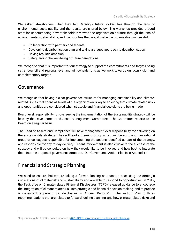We asked stakeholders what they felt Caredig's future looked like through the lens of environmental sustainability and the results are shared below. The workshop provided a good start for understanding how stakeholders viewed the organisation's future through the lens of environmental sustainability, and the priorities that would make the organisation successful:

- Collaboration with partners and tenants
- Developing decarbonisation plan and taking a staged approach to decarbonisation
- Having realistic ambition
- Safeguarding the well-being of future generations

We recognise that it is important for our strategy to support the commitments and targets being set at council and regional level and will consider this as we work towards our own vision and complementary targets.

### <span id="page-17-0"></span>Governance

We recognise that having a clear governance structure for managing sustainability and climaterelated issues that spans all levels of the organisation is key to ensuring that climate-related risks and opportunities are considered when strategic and financial decisions are being made.

Board-level responsibility for overseeing the implementation of the Sustainability strategy will be held by the Development and Asset Management Committee. The Committee reports to the Board on a regular basis.

The Head of Assets and Compliance will have management-level responsibility for delivering on the sustainability strategy. They will lead a Steering Group which will be a cross-organisational group of colleagues responsible for implementing the actions identified as part of the strategy, and responsible for day-to-day delivery. Tenant involvement is also crucial to the success of the strategy and will be consulted on how they would like to be involved and how best to integrate them into the proposed governance structure. Our Governance Action Plan is in Appendix 1

# <span id="page-17-1"></span>Financial and Strategic Planning

We need to ensure that we are taking a forward-looking approach to assessing the strategic implications of climate-risk and sustainability and are able to respond to opportunities. In 2017, the Taskforce on Climate-related Financial Disclosures (TCFD) released guidance to encourage the integration of climate-related risk into strategic and financial decision-making, and to provide a consistent approach for disclosure in Annual Reports<sup>4</sup>. . The Action Plan outlines recommendations that are related to forward-looking planning, and how climate-related risks and

<sup>&</sup>lt;sup>4</sup>Implementing the TCFD recommendations. 2021-TCFD-Implementing Guidance.pdf (bbhub.io)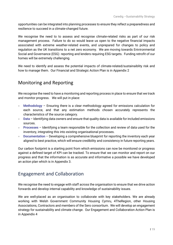opportunities can be integrated into planning processes to ensure they reflect a preparedness and resilience to succeed in a climate-changed future.

We recognise the need to to assess and recognise climate-related risks as part of our risk management process. Failure to do so would leave us open to the negative financial impacts associated with extreme weather-related events, and unprepared for changes to policy and regulation as the UK transitions to a net zero economy. We are moving towards Enivironmental Social and Governance (ESG) reporting and lenders requiring ESG targets. Funding retrofit of our homes will be extremely challenging.

We need to identify and assess the potential impacts of climate-related/sustainaiblity risk and how to manage them. Our Financial and Strategic Action Plan is in Appendix 2

# <span id="page-18-0"></span>Monitoring and Reporting

We recognise the need to have a monitoring and reporting process in place to ensure that we track and monitor progress. We will put in place:

- **Methodology** Ensuring there is a clear methodology agreed for emissions calculation for each source, and that any estimation methods chosen accurately represents the characteristics of the source category.
- **Data** Identifying data owners and ensure that quality data is available for included emissions sources.
- **Processes** Identifying a team responsible for the collection and review of data used for the inventory, integrating this into existing organisational processes.
- **Documentation** Developing a comprehensive blueprint for reporting the inventory each year aligned to best practice, which will ensure credibility and consistency in future reporting years.

Our carbon footprint is a starting point from which emissions can now be monitored or progress against a defined target of KPI can be tracked. To ensure that we can monitor and report on our progress and that the information is as accurate and informative a possible we have developed an action plan which is in Appendix 3.

# <span id="page-18-1"></span>Engagement and Collaboration

We recognise the need to engage with staff across the organisation to ensure that we drive action forwards and develop internal capability and knowledge of sustainability issues.

We are well-placed as an organisation to collaborate with key stakeholders. We are already working with Welsh Government Community Housing Cymru, 4TheRegion, other Housing Associations, Contractors and members of the Sero consortium. We will develop an engagement strategy for sustainability and climate change. Our Engagement and Collaboration Action Plan is in Appendix 4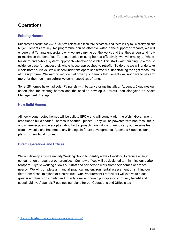# <span id="page-19-0"></span>**Operations**

#### <span id="page-19-1"></span>**Existing Homes**

Our homes account for 75% of our emissions and therefore decarbonising them is key to us achieving our target. Tenants are key. No programme can be effective without the support of tenants, we will ensure that Tenants understand why we are carrying out the works and that they understand how to maximise the benefits. To decarbonise existing homes effectively, we will employ a "wholebuilding" and "whole-system" approach wherever possible<sup>5</sup>. This starts with building up a robust evidence base for successful, whole house approaches to retrofit. To do this we will undertake whole home surveys. We will then undertake optimised retrofit i.e. undertaking the right measures at the right time. We want to reduce fuel poverty our aim is that Tenants will not have to pay any more for their fuel than before we commenced retrofitting.

So far 28 homes have had solar PV panels with battery storage installed. Appendix 5 outlines our action plan for existing homes and the need to develop a Retrofit Plan alongside an Asset Management Strategy.

#### <span id="page-19-2"></span>**New Build Homes**

All newly constructed homes will be built to EPC A and will comply with the Welsh Government ambition to build beautiful homes in beautiful places. They will be powered with non-fossil fuels and wherever possible adopt a fabric first approach. We will continue to carry out lessons learnt from new build and implement any findings in future developments. Appendix 6 outlines our plans for new build homes.

#### <span id="page-19-3"></span>**Direct Operations and Offices**

We will develop a Sustainability Working Group to identify ways of working to reduce energy consumption throughout our premises. Our new offices will be designed to minimise our carbon footprint. Hybrid working allows our staff and partners to work from their homes or offices nearby. We will complete a financial, practical and environmental assessment on shifting our fleet from diesel to hybrid or electric fuel. Our Procurement Framework will evolve to place greater emphasis on circular and foundational economic principles, community benefit and sustainability. Appendix 7 outlines our plans for our Operations and Office sites

<sup>&</sup>lt;sup>5</sup> [Heat and buildings strategy \(publishing.service.gov.uk\)](https://assets.publishing.service.gov.uk/government/uploads/system/uploads/attachment_data/file/1026507/heat-buildings-strategy.pdf)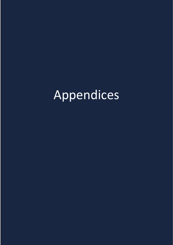# <span id="page-20-0"></span>Appendices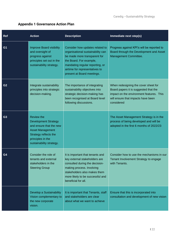## <span id="page-21-0"></span>**Appendix 1 Governance Action Plan**

<span id="page-21-1"></span>

| <b>Ref</b>     | <b>Action</b>                                                                                                                                                                    | <b>Description</b>                                                                                                                                                                                                                 | Immediate next step(s)                                                                                                                                                        |
|----------------|----------------------------------------------------------------------------------------------------------------------------------------------------------------------------------|------------------------------------------------------------------------------------------------------------------------------------------------------------------------------------------------------------------------------------|-------------------------------------------------------------------------------------------------------------------------------------------------------------------------------|
| G <sub>1</sub> | <b>Improve Board visibility</b><br>and oversight of<br>progress against<br>principles set out in the<br>sustainability strategy.                                                 | Consider how updates related to<br>organisational sustainability can<br>be made more transparent for<br>the Board. For example,<br>mandating regular reporting, or<br>airtime for representatives to<br>present at Board meetings. | Progress against KPI's will be reported to<br>Board through the Development and Asset<br>Management Committee.                                                                |
| G <sub>2</sub> | Integrate sustainability<br>principles into strategic<br>decision-making.                                                                                                        | The importance of integrating<br>sustainability objectives into<br>strategic decision-making has<br>been recognised at Board level<br>following discussions.                                                                       | When redesigning the cover sheet for<br>Board papers it is suggested that the<br>impact on the environment features. This<br>will ensure that impacts have been<br>considered |
| G <sub>3</sub> | <b>Review the</b><br><b>Development Strategy</b><br>and ensure that the new<br><b>Asset Management</b><br>Strategy reflects the<br>principles in the<br>sustainability strategy. |                                                                                                                                                                                                                                    | The Asset Management Strategy is in the<br>process of being developed and will be<br>adopted in the first 6 months of 2022/23                                                 |
| G <sub>4</sub> | Consider the role of<br>tenants and external<br>stakeholders in the<br><b>Steering Group</b>                                                                                     | It is important that tenants and<br>key external stakeholders are<br>consulted during the decision-<br>making process. Involving<br>stakeholders also makes them<br>more likely to be successful and<br>beneficial for all.        | Consider how to use the mechanisms in our<br>Tenant Involvement Strategy to engage<br>with Tenants.                                                                           |
|                | Develop a Sustainability<br>Vision complementary to<br>the new corporate<br>vision.                                                                                              | It is important that Tenants, staff<br>and stakeholders are clear<br>about what we want to achieve                                                                                                                                 | Ensure that this is incorporated into<br>consultation and development of new vision                                                                                           |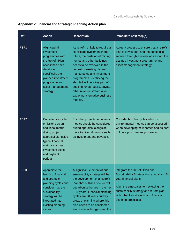| Appendix 2 Financial and Strategic Planning Action plan |  |  |  |
|---------------------------------------------------------|--|--|--|
|                                                         |  |  |  |

| <b>Ref</b>       | <b>Action</b>                                                                                                                                                                                     | <b>Description</b>                                                                                                                                                                                                                                                                                                                                                                                                | Immediate next step(s)                                                                                                                                                                                                                                         |
|------------------|---------------------------------------------------------------------------------------------------------------------------------------------------------------------------------------------------|-------------------------------------------------------------------------------------------------------------------------------------------------------------------------------------------------------------------------------------------------------------------------------------------------------------------------------------------------------------------------------------------------------------------|----------------------------------------------------------------------------------------------------------------------------------------------------------------------------------------------------------------------------------------------------------------|
| FSP <sub>1</sub> | Align capital<br>investment<br>programmes with<br>the Retrofit Plan<br>once it has been<br>developed,<br>specifically the<br>planned investment<br>programme and<br>asset management<br>strategy. | As retrofit is likely to require a<br>significant investment in the<br>future, the costs of retrofitting<br>homes and other buildings<br>needs to be reviewed in the<br>context of existing planned<br>maintenance and investment<br>programmes. Identifying the<br>shortfall will be a key part of<br>seeking funds (public, private,<br>other revenue streams), or<br>exploring alternative business<br>models. | Agree a process to ensure that a retrofit<br>plan is developed, and that funding is<br>secured through a review of lifespan, the<br>planned investment programme and<br>asset management strategy.                                                             |
| FSP <sub>2</sub> | Consider life cycle<br>emissions as an<br>additional metric<br>during project<br>appraisal alongside<br>typical financial<br>metrics such as<br>investment costs<br>and payback<br>periods.       | For other projects, emissions<br>metrics should be considered<br>during appraisal alongside<br>more traditional metrics such<br>as investment and payback.                                                                                                                                                                                                                                                        | Consider how life cycle carbon or<br>environmental metrics can be assessed<br>when developing new homes and as part<br>of future procurement processes.                                                                                                        |
| FSP <sub>3</sub> | Appreciate the<br>length of financial<br>and strategic<br>planning cycles and<br>consider how the<br>sustainability<br>strategy will be<br>integrated into<br>existing planning<br>cycles.        | A significant element of our<br>sustainability strategy will be<br>the development of a Retrofit<br>Plan that outlines how we will<br>decarbonise homes in the next<br>5-10 years. Financial planning<br>cycles are 30 years but key<br>areas of planning where this<br>plan needs to be considered<br>are in annual budgets and the                                                                              | Integrate the Retrofit Plan and<br>Sustainability Strategy into annual and 5-<br>year financial plans.<br>Align the timescales for reviewing the<br>sustainability strategy and retrofit plan<br>with other key strategic and financial<br>planning processes. |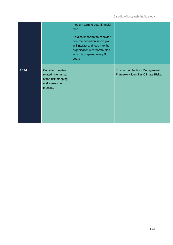|      |                                                                                                 | medium term, 5-year financial<br>plan.<br>It's also important to consider<br>how the decarbonisation plan<br>will interact and feed into the<br>organisation's corporate plan<br>which is prepared every 5<br>years. |                                                                        |
|------|-------------------------------------------------------------------------------------------------|----------------------------------------------------------------------------------------------------------------------------------------------------------------------------------------------------------------------|------------------------------------------------------------------------|
| FSP4 | Consider climate-<br>related risks as part<br>of the risk mapping<br>and assessment<br>process. |                                                                                                                                                                                                                      | Ensure that the Risk Management<br>Framework identifies Climate Risks. |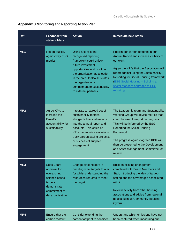## <span id="page-24-0"></span>**Appendix 3 Monitoring and Reporting Action Plan**

| Ref             | <b>Feedback from</b><br><b>stakeholders</b>                                                                                         | <b>Action</b>                                                                                                                                                                                                                                                              | <b>Immediate next steps</b>                                                                                                                                                                                                                                                                                                                         |
|-----------------|-------------------------------------------------------------------------------------------------------------------------------------|----------------------------------------------------------------------------------------------------------------------------------------------------------------------------------------------------------------------------------------------------------------------------|-----------------------------------------------------------------------------------------------------------------------------------------------------------------------------------------------------------------------------------------------------------------------------------------------------------------------------------------------------|
| MR1             | <b>Report publicly</b><br>against key ESG<br>metrics.                                                                               | Using a consistent<br>recognised reporting<br>framework could unlock<br>future investment<br>opportunities and position<br>the organisation as a leader<br>in the area. It also illustrates<br>the organisation's<br>commitment to sustainability<br>to external partners. | Publish our carbon footprint in our<br>Annual Report and increase visibility of<br>our work.<br>Agree the KPI's that the Association will<br>report against using the Sustainability<br><b>Reporting for Social Housing framework</b><br><b>(ESG Social Housing - Building a)</b><br>sector standard approach to ESG<br>reporting.                  |
| MR <sub>2</sub> | Agree KPIs to<br>increase the<br>Board's<br>accountability for<br>sustainability.                                                   | Integrate an agreed set of<br>sustainability metrics<br>alongside financial metrics<br>into the annual report and<br>accounts. This could be<br>KPIs that monitor emissions,<br>track carbon saving projects,<br>or success of supplier<br>engagement.                     | The Leadership team and Sustainability<br>Working Group will devise metrics that<br>could be used to report on progress.<br>This will be informed by the ESG<br><b>Reporting for Social Housing</b><br>Framework.<br>The progress against agreed KPIs will<br>then be presented to the Development<br>and Asset Management Committee for<br>review. |
| MR <sub>3</sub> | <b>Seek Board</b><br>approval for<br>overarching<br>science-based<br>targets to<br>demonstrate<br>commitment to<br>decarbonisation. | Engage stakeholders in<br>deciding what targets to aim<br>for whilst understanding the<br>resources required to meet<br>the target.                                                                                                                                        | Build on existing engagement<br>completed with Board Members and<br>Staff, introducing the idea of target-<br>setting and the advantages associated<br>with it.<br>Review activity from other housing<br>associations and advice from regional<br>bodies such as Community Housing<br>Cymru.                                                        |
| MR4             | Ensure that the<br>carbon footprint                                                                                                 | Consider extending the<br>carbon footprint to consider                                                                                                                                                                                                                     | Understand which emissions have not<br>been captured when measuring our                                                                                                                                                                                                                                                                             |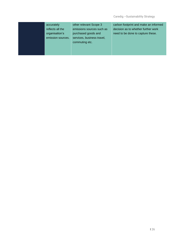| accurately<br>reflects all the | other relevant Scope 3<br>emissions sources such as | carbon footprint and make an informed<br>decision as to whether further work |
|--------------------------------|-----------------------------------------------------|------------------------------------------------------------------------------|
| organisation's                 | purchased goods and                                 | need to be done to capture these.                                            |
| emission sources.              | services, business travel,<br>commuting etc.        |                                                                              |
|                                |                                                     |                                                                              |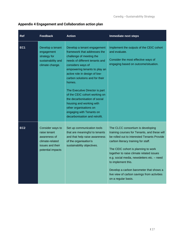## <span id="page-26-0"></span>**Appendix 4 Engagement and Collaboration action plan**

| Ref             | <b>Feedback</b>                                                                                              | <b>Action</b>                                                                                                                                                                                                                                                                                                                                                                                                                                                                       | <b>Immediate next steps</b>                                                                                                                                                                                                                                                                                                                                                                                                                     |
|-----------------|--------------------------------------------------------------------------------------------------------------|-------------------------------------------------------------------------------------------------------------------------------------------------------------------------------------------------------------------------------------------------------------------------------------------------------------------------------------------------------------------------------------------------------------------------------------------------------------------------------------|-------------------------------------------------------------------------------------------------------------------------------------------------------------------------------------------------------------------------------------------------------------------------------------------------------------------------------------------------------------------------------------------------------------------------------------------------|
| EC <sub>1</sub> | Develop a tenant<br>engagement<br>strategy for<br>sustainability and<br>climate change.                      | Develop a tenant engagement<br>framework that addresses the<br>challenge of meeting the<br>needs of different tenants and<br>considers ways of<br>empowering tenants to play an<br>active role in design of low-<br>carbon solutions and for their<br>homes.<br>The Executive Director is part<br>of the CEIC cohort working on<br>the decarbonisation of social<br>housing and working with<br>other organisations on<br>engaging with Tenants on<br>decarbonisation and retrofit. | Implement the outputs of the CEIC cohort<br>and evaluate.<br>Consider the most effective ways of<br>engaging based on outcome/situation.                                                                                                                                                                                                                                                                                                        |
| EC <sub>2</sub> | Consider ways to<br>raise tenant<br>awareness of<br>climate-related<br>issues and their<br>potential impacts | Set up communication tools<br>that are meaningful to tenants<br>and that help raise awareness<br>of the organisation's<br>sustainability objectives.                                                                                                                                                                                                                                                                                                                                | The CLCC consortium is developing<br>training courses for Tenants, and these will<br>be rolled out to interested Tenants Provide<br>carbon literacy training for staff.<br>The CEIC cohort is planning to work<br>together to raise climate related issues<br>e.g. social media, newsletters etc. - need<br>to implement this.<br>Develop a carbon barometer that shows a<br>live view of carbon savings from activities<br>on a regular basis. |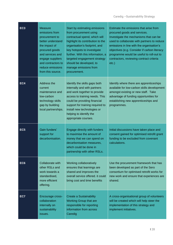| EC <sub>3</sub> | <b>Measure</b><br>emissions from<br>procurement to<br>better understand<br>the impact of<br>procured goods<br>and services and<br>engage suppliers<br>and contractors to<br>reduce emissions<br>from this source. | Start by estimating emissions<br>from procurement using<br>contractual spend, which will<br>highlight its contribution to the<br>organisation's footprint, and<br>key hotspots to investigate<br>further. With this information, a<br>targeted engagement strategy<br>should be developed, to<br>manage emissions from<br>procurement. | Estimate the emissions that arise from<br>procured goods and services.<br>Investigate the mechanisms that can be<br>used to collaborate with partners to reduce<br>emissions in line with the organisation's<br>objectives (e.g. Consider if carbon literacy<br>programme would be useful to roll-out to<br>contractors, reviewing contract criteria<br>$etc.$ ) |
|-----------------|-------------------------------------------------------------------------------------------------------------------------------------------------------------------------------------------------------------------|----------------------------------------------------------------------------------------------------------------------------------------------------------------------------------------------------------------------------------------------------------------------------------------------------------------------------------------|------------------------------------------------------------------------------------------------------------------------------------------------------------------------------------------------------------------------------------------------------------------------------------------------------------------------------------------------------------------|
| EC4             | Address the<br>current<br>maintenance and<br>low-carbon<br>technology skills<br>gap by building<br>local partnerships.                                                                                            | Identify the skills gaps both<br>internally and with partners<br>and work together to provide<br>access to training needs. This<br>could be providing financial<br>support for training required to<br>install new technologies or<br>helping to identify the<br>appropriate courses.                                                  | Identify where there are apprenticeships<br>available for low-carbon skills development<br>amongst existing or new staff. Take<br>advantage of funding opportunities for<br>establishing new apprenticeships and<br>programmes.                                                                                                                                  |
| EC <sub>5</sub> | Gain funders'<br>support for<br>decarbonisation.                                                                                                                                                                  | Engage directly with funders<br>to maximise the amount of<br>money that we can spend on<br>decarbonisation measures,<br>which could be done in<br>partnership with other RSLs.                                                                                                                                                         | Initial discussions have taken place and<br>consent gained for optimised retrofit grant<br>funding to be excluded from covenant<br>calculations.                                                                                                                                                                                                                 |
| EC <sub>6</sub> | Collaborate with<br>other RSLs and<br>work towards a<br>standardised,<br>more efficient<br>offering.                                                                                                              | Working collaboratively<br>ensures that learnings are<br>shared and improves the<br>overall service offered. it could<br>bring cost and time benefits                                                                                                                                                                                  | Use the procurement framework that has<br>been developed as part of the Sero<br>consortium for optimised retrofit works for<br>new work and ensure that experiences are<br>shared.                                                                                                                                                                               |
| EC7             | Encourage cross-<br>collaboration<br>internally on<br>sustainability<br>issues.                                                                                                                                   | <b>Create a Sustainability</b><br><b>Working Group that are</b><br>responsible for reporting<br>information from across<br>Caredig                                                                                                                                                                                                     | A cross-organisational group of volunteers<br>will be created which will help steer the<br>implementation of this strategy and<br>implement initiatives.                                                                                                                                                                                                         |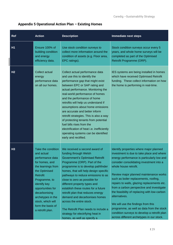<span id="page-28-0"></span>

|  |  |  | Appendix 5 Operational Action Plan - Existing Homes |
|--|--|--|-----------------------------------------------------|
|--|--|--|-----------------------------------------------------|

| Ref            | <b>Action</b>                                                                                                                                                                                                                                                                              | <b>Description</b>                                                                                                                                                                                                                                                                                                                                                                                                                                                                                                                                                                      | <b>Immediate next steps</b>                                                                                                                                                                                                                                                                                                                                                                                                                                                                                                                                                                                                             |
|----------------|--------------------------------------------------------------------------------------------------------------------------------------------------------------------------------------------------------------------------------------------------------------------------------------------|-----------------------------------------------------------------------------------------------------------------------------------------------------------------------------------------------------------------------------------------------------------------------------------------------------------------------------------------------------------------------------------------------------------------------------------------------------------------------------------------------------------------------------------------------------------------------------------------|-----------------------------------------------------------------------------------------------------------------------------------------------------------------------------------------------------------------------------------------------------------------------------------------------------------------------------------------------------------------------------------------------------------------------------------------------------------------------------------------------------------------------------------------------------------------------------------------------------------------------------------------|
| <b>H1</b>      | Ensure 100% of<br>building condition<br>and energy<br>efficiency data.                                                                                                                                                                                                                     | Use stock condition surveys to<br>collect more information around the<br>condition of assets (e.g. Floor area,<br>EPC ratings).                                                                                                                                                                                                                                                                                                                                                                                                                                                         | Stock condition surveys occur every 5<br>years, and whole home surveys will be<br>completed as part of the Optimised<br>Retrofit Programme (ORP).                                                                                                                                                                                                                                                                                                                                                                                                                                                                                       |
| H <sub>2</sub> | Collect actual<br>energy<br>performance data<br>on all our homes.                                                                                                                                                                                                                          | Collect actual performance data<br>and use this to identify the<br>performance gap that might exist<br>between EPC or SAP rating and<br>actual performance. Monitoring the<br>real-world performance of homes<br>and the performance of home<br>retrofits will help us understand if<br>assumptions about home emissions<br>are accurate and better inform<br>retrofit strategies. This is also a way<br>of protecting tenants from potential<br>fuel bills rises from the<br>electrification of heat i.e. inefficiently<br>operating systems can be identified<br>early and rectified. | IES systems are being installed in homes<br>which have received Optimised Retrofit<br>funding. These collect information on how<br>the home is performing in real-time.                                                                                                                                                                                                                                                                                                                                                                                                                                                                 |
| H <sub>3</sub> | Take the condition<br>and actual<br>performance data<br>for homes, and<br>the learnings from<br>the Optimised<br><b>Retrofit</b><br>Programme, to<br>identify key<br>opportunities for<br>decarbonising<br>archetypes in the<br>stock, which will<br>form the basis of<br>a retrofit plan. | We received a second award of<br>funding through Welsh<br><b>Government's Optimised Retrofit</b><br>Programme (ORP). Part of the<br>programme is to develop pathfinder<br>homes, that will help design specific<br>pathways to reduce emissions to as<br>close to zero as possible for<br>different property types and<br>establish these routes for a future<br>retrofit plan that reduces energy<br>demand and decarbonises homes<br>across the entire stock.<br>The Retrofit Plan needs to include a<br>strategy for electrifying heat in<br>homes, as well as specify a             | Identify properties where major planned<br>investment is due to take place and where<br>energy performance is particularly low and<br>consider consolidating investment into a<br>whole house retrofit.<br>Review major planned maintenance works<br>such as boiler replacements, roofing,<br>repairs to walls, glazing replacements etc.<br>from a carbon perspective and investigate<br>the feasibility of replacing with low-carbon<br>alternatives.<br>We will use the findings from this<br>programme, as well as data from the stock<br>condition surveys to develop a retrofit plan<br>across different archetypes in our stock. |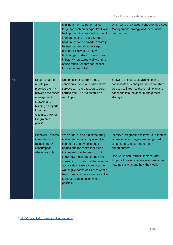|                |                                                                                                                                                                                                   | minimum thermal performance<br>target for each archetype. It will also<br>be important to consider the role of<br>storage heating in flats. Storage<br>heat (in the form of modern storage<br>heaters or centralised storage<br>boilers) is likely to be a key<br>technology for decarbonising heat<br>in flats. When paired well with time<br>of use tariffs, tenants can benefit<br>from lower fuel bills <sup>6</sup> . | which will be reviewed alongside the Asset<br>Management Strategy and investment<br>programme.                                                                                                                                                                         |
|----------------|---------------------------------------------------------------------------------------------------------------------------------------------------------------------------------------------------|----------------------------------------------------------------------------------------------------------------------------------------------------------------------------------------------------------------------------------------------------------------------------------------------------------------------------------------------------------------------------------------------------------------------------|------------------------------------------------------------------------------------------------------------------------------------------------------------------------------------------------------------------------------------------------------------------------|
| H <sub>4</sub> | Ensure that the<br>retrofit plan<br>provides the link<br>between the asset<br>management<br>strategy and<br>building passports<br>from the<br><b>Optimised Retrofit</b><br>Programme<br>$(ORP)$ . | Combine findings from stock<br>condition surveys and whole home<br>surveys with the passport to zero<br>carbon from ORP to establish a<br>retrofit plan.                                                                                                                                                                                                                                                                   | Software should be available soon to<br>consolidate this analysis, which can then<br>be used to integrate the retrofit plan and<br>passports into the asset management<br>strategy.                                                                                    |
| H <sub>5</sub> | <b>Empower Tenants</b><br>to monitor and<br>reduce energy<br>consumption<br>where possible.                                                                                                       | Where there is no direct metering<br>and where tenants pay a service<br>charge for energy consumed in<br>homes and for communal areas,<br>this means that Tenants do not<br>know how much energy they are<br>consuming. Installing sub-meters to<br>accurately measure consumption<br>would give better visibility of what's<br>being used and provide an incentive<br>to reduce consumption where<br>possible.            | Identify a programme to install sub-meters<br>where service charges are being used to<br>bill tenants by usage rather than<br>apportionment.<br>Use Optimised Retrofit Demonstrator<br>Projects to raise awareness of low carbon<br>heating systems and how they work. |

<sup>6</sup> <https://connectedresponse.co.uk/our-services/>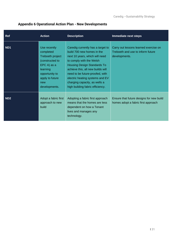## <span id="page-30-0"></span>**Appendix 6 Operational Action Plan - New Developments**

| Ref             | <b>Action</b>                                                                                                                                                   | <b>Description</b>                                                                                                                                                                                                                                                                                                                                  | <b>Immediate next steps</b>                                                                 |
|-----------------|-----------------------------------------------------------------------------------------------------------------------------------------------------------------|-----------------------------------------------------------------------------------------------------------------------------------------------------------------------------------------------------------------------------------------------------------------------------------------------------------------------------------------------------|---------------------------------------------------------------------------------------------|
| ND <sub>1</sub> | Use recently<br>completed<br>Treboeth project<br>(constructed to<br>EPC A) as a<br><b>learning</b><br>opportunity to<br>apply to future<br>new<br>developments. | Caredig currently has a target to<br>build 700 new homes in the<br>next 10 years, which will need<br>to comply with the Welsh<br><b>Housing Design Standards To</b><br>achieve this, all new builds will<br>need to be future-proofed, with<br>electric heating systems and EV<br>charging capacity, as wells a<br>high building fabric efficiency. | Carry out lessons learned exercise on<br>Treboeth and use to inform future<br>developments. |
| ND <sub>2</sub> | Adopt a fabric first<br>approach to new<br>build                                                                                                                | Adopting a fabric first approach<br>means that the homes are less<br>dependent on how a Tenant<br>lives and manages any<br>technology.                                                                                                                                                                                                              | Ensure that future designs for new build<br>homes adopt a fabric first approach             |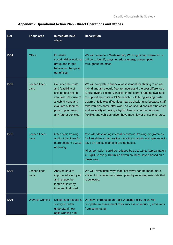| <b>Ref</b>      | <b>Focus area</b>      | <b>Immediate next</b><br><b>steps</b>                                                                                                                                                        | <b>Description</b>                                                                                                                                                                                                                                                                                                                                                                                                                                                                                                                                  |
|-----------------|------------------------|----------------------------------------------------------------------------------------------------------------------------------------------------------------------------------------------|-----------------------------------------------------------------------------------------------------------------------------------------------------------------------------------------------------------------------------------------------------------------------------------------------------------------------------------------------------------------------------------------------------------------------------------------------------------------------------------------------------------------------------------------------------|
| DO <sub>1</sub> | Office                 | Establish<br>sustainability working<br>group and target<br>behaviour change at<br>our offices.                                                                                               | We will convene a Sustainability Working Group whose focus<br>will be to identify ways to reduce energy consumption<br>throughout the office.                                                                                                                                                                                                                                                                                                                                                                                                       |
| DO <sub>2</sub> | Leased fleet -<br>vans | <b>Consider the costs</b><br>and feasibility of<br>shifting to a hybrid<br>van fleet. Pilot use of<br>2 Hybrid Vans and<br>evaluate outcomes<br>prior to purchasing<br>any further vehicles. | We will complete a financial assessment for shifting to an all-<br>hybrid and all- electric fleet to understand the cost differences<br>(unlike hybrid electric vehicles, there is grant funding available<br>to support the costs of BEVs which could bring leasing costs<br>down). A fully electrified fleet may be challenging because staff<br>take vehicles home after work, so we should consider the costs<br>and feasibility of having a hybrid fleet so charging is more<br>flexible, and vehicles driven have much lower emissions rates. |
| DO <sub>3</sub> | Leased fleet -<br>vans | Offer basic training<br>and/or incentives for<br>more economic ways<br>of driving.                                                                                                           | Consider developing internal or external training programmes<br>for fleet drivers that provide more information on simple ways to<br>save on fuel by changing driving habits.<br>Miles per gallon could be reduced by up to 15%. Approximately<br>40 kgCO <sub>2</sub> e every 100 miles driven could be saved based on a<br>diesel van.                                                                                                                                                                                                            |
| DO <sub>4</sub> | Leased fleet -<br>vans | Analyse data to<br>improve efficiency of<br>and reduce the<br>length of journey<br>time and fuel used.                                                                                       | We will investigate ways that fleet travel can be made more<br>efficient to reduce fuel consumption by reviewing use data that<br>is collected.                                                                                                                                                                                                                                                                                                                                                                                                     |
| DO <sub>5</sub> | Ways of working        | Design and release a<br>survey to better<br>understand how<br>agile working has                                                                                                              | We have introduced an Agile Working Policy so we will<br>complete an assessment of its success on reducing emissions<br>from commuting.                                                                                                                                                                                                                                                                                                                                                                                                             |

## <span id="page-31-0"></span>**Appendix 7 Operational Action Plan - Direct Operations and Offices**